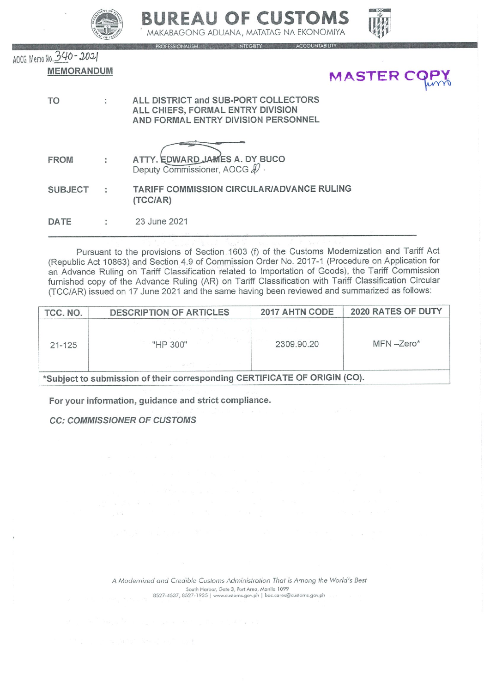



ONALISM MEGRITY ACCOUNTABILITY

AOCG Memo No. 340 - 2021 **MEMORANDUM** 



| <b>TO</b>      |   | ALL DISTRICT and SUB-PORT COLLECTORS<br>ALL CHIEFS, FORMAL ENTRY DIVISION<br>AND FORMAL ENTRY DIVISION PERSONNEL |
|----------------|---|------------------------------------------------------------------------------------------------------------------|
| <b>FROM</b>    |   | ATTY. EDWARD JAMES A. DY BUCO<br>Deputy Commissioner, AOCG &                                                     |
| <b>SUBJECT</b> | ÷ | <b>TARIFF COMMISSION CIRCULAR/ADVANCE RULING</b><br>(TCC/AR)                                                     |
| DATE           |   | 23 June 2021                                                                                                     |

Pursuant to the provisions of Section 1603 (f) of the Customs Modernization and Tariff Act (Republic Act 10863) and Section 4.9 of Commission Order No. 2017-1 (Procedure on Application for an Advance Ruling on Tariff Classification related to Importation of Goods), the Tariff Commission furnished copy of the Advance Ruling (AR) on Tariff Classification with Tariff Classification Circular (TCC/AR) issued on 17 June 2021 and the same having been reviewed and summarized as follows:

| TCC. NO.   | <b>DESCRIPTION OF ARTICLES</b>                                            | 2017 AHTN CODE | 2020 RATES OF DUTY |
|------------|---------------------------------------------------------------------------|----------------|--------------------|
| $21 - 125$ | "HP 300"                                                                  | 2309.90.20     | $MFN - Zero*$      |
|            | *Subject to submission of their corresponding CERTIFICATE OF ORIGIN (CO). |                |                    |

For your information, guidance and strict compliance.

**CC: COMMISSIONER OF CUSTOMS** 

A Modernized and Credible Customs Administration That is Among the World's Best South Harbor, Gate 3, Port Area, Manila 1099<br>8527-4537, 8527-1935 | www.customs.gov.ph | boc.cares@customs.gov.ph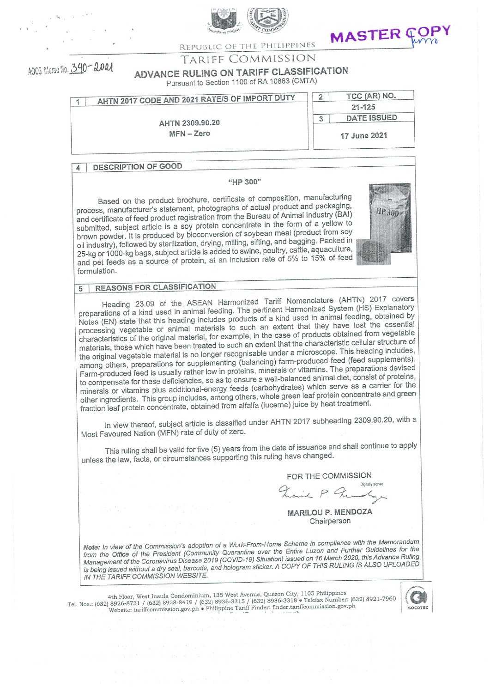



REPUBLIC OF THE PHILIPPINES

AOCG Memo No. 340-2021

# TARIFF COMMISSION

ADVANCE RULING ON TARIFF CLASSIFICATION

Pursuant to Section 1100 of RA 10863 (CMTA)

| AHTN 2017 CODE AND 2021 RATE/S OF IMPORT DUTY<br>A |              | TCC (AR) NO. |
|----------------------------------------------------|--------------|--------------|
|                                                    | $21 - 125$   |              |
| AHTN 2309.90.20                                    |              | DATE ISSUED  |
| $MFN - Zero$                                       | 17 June 2021 |              |

### **DESCRIPTION OF GOOD**  $\Delta$

## "HP 300"

Based on the product brochure, certificate of composition, manufacturing process, manufacturer's statement, photographs of actual product and packaging, and certificate of feed product registration from the Bureau of Animal Industry (BAI) submitted, subject article is a soy protein concentrate in the form of a yellow to brown powder. It is produced by bioconversion of soybean meal (product from soy oil industry), followed by sterilization, drying, milling, sifting, and bagging. Packed in 25-kg or 1000-kg bags, subject article is added to swine, poultry, cattle, aquaculture, and pet feeds as a source of protein, at an inclusion rate of 5% to 15% of feed formulation.



#### **REASONS FOR CLASSIFICATION**  $\sqrt{2}$

Heading 23.09 of the ASEAN Harmonized Tariff Nomenclature (AHTN) 2017 covers preparations of a kind used in animal feeding. The pertinent Harmonized System (HS) Explanatory Notes (EN) state that this heading includes products of a kind used in animal feeding, obtained by processing vegetable or animal materials to such an extent that they have lost the essential characteristics of the original material, for example, in the case of products obtained from vegetable materials, those which have been treated to such an extent that the characteristic cellular structure of the original vegetable material is no longer recognisable under a microscope. This heading includes, among others, preparations for supplementing (balancing) farm-produced feed (feed supplements). Farm-produced feed is usually rather low in proteins, minerals or vitamins. The preparations devised to compensate for these deficiencies, so as to ensure a well-balanced animal diet, consist of proteins, minerals or vitamins plus additional-energy feeds (carbohydrates) which serve as a carrier for the other ingredients. This group includes, among others, whole green leaf protein concentrate and green fraction leaf protein concentrate, obtained from alfalfa (lucerne) juice by heat treatment.

In view thereof, subject article is classified under AHTN 2017 subheading 2309.90.20, with a Most Favoured Nation (MFN) rate of duty of zero.

This ruling shall be valid for five (5) years from the date of issuance and shall continue to apply unless the law, facts, or circumstances supporting this ruling have changed.

FOR THE COMMISSION Diretally sign

it P. Fre

**MARILOU P. MENDOZA** Chairperson

Note: In view of the Commission's adoption of a Work-From-Home Scheme in compliance with the Memorandum from the Office of the President (Community Quarantine over the Entire Luzon and Further Guidelines for the Management of the Coronavirus Disease 2019 (COVID-19) Situation) issued on 16 March 2020, this Advance Ruling is being issued without a dry seal, barcode, and hologram sticker. A COPY OF THIS RULING IS ALSO UPLOADED IN THE TARIFF COMMISSION WEBSITE.

4th Floor, West Insula Condominium, 135 West Avenue, Quezon City, 1105 Philippines<br>Tel. Nos.: (632) 8926-8731 / (632) 8928-8419 / (632) 8936-3315 / (632) 8936-3318 • Telefax Number: (632) 8921-7960<br>Website: tariffcommissio